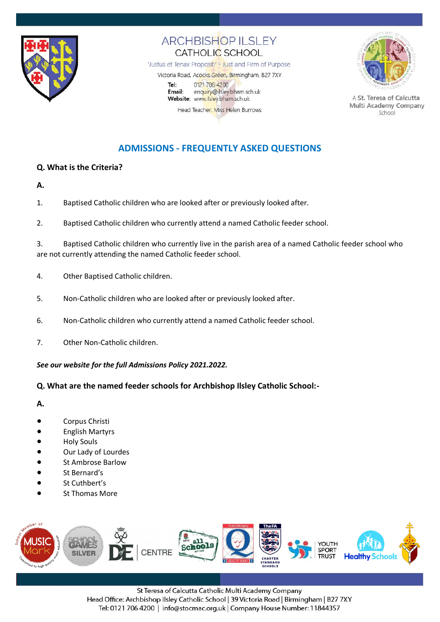

## **ARCHBISHOP ILSLEY** CATHOLIC SCHOOL

'Justus et Tenax Propositi' - Just and Firm of Purpose

Victoria Road, Acocks Green, Birmingham, B27 7XY 0121 706 4200 Tel: enquiry@ilsley.bham.sch.uk Email: Website: www.ilsley.bham.sch.uk Head Teacher: Miss Helen Burrows



A St. Teresa of Calcutta Multi Academy Company School

# **ADMISSIONS - FREQUENTLY ASKED QUESTIONS**

### **Q. What is the Criteria?**

- **A.**
- 1. Baptised Catholic children who are looked after or previously looked after.
- 2. Baptised Catholic children who currently attend a named Catholic feeder school.

3. Baptised Catholic children who currently live in the parish area of a named Catholic feeder school who are not currently attending the named Catholic feeder school.

- 4. Other Baptised Catholic children.
- 5. Non-Catholic children who are looked after or previously looked after.
- 6. Non-Catholic children who currently attend a named Catholic feeder school.
- 7. Other Non-Catholic children.

*See our website for the full Admissions Policy 2021.2022.*

### **Q. What are the named feeder schools for Archbishop Ilsley Catholic School:-**

**A.**

- Corpus Christi
- **English Martyrs**
- **Holy Souls**
- Our Lady of Lourdes
- **St Ambrose Barlow**
- St Bernard's
- St Cuthbert's
- **St Thomas More**



St Teresa of Calcutta Catholic Multi Academy Company Head Office: Archbishop Ilsley Catholic School | 39 Victoria Road | Birmingham | B27 7XY Tel: 0121 706 4200 | info@stocmac.org.uk | Company House Number: 11844357